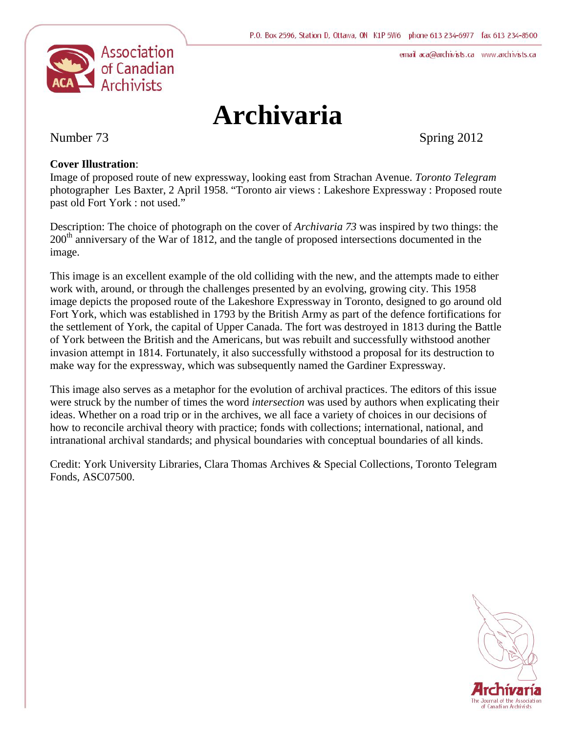email aca@archivists.ca www.archivists.ca



# **Archivaria**

Number 73 Spring 2012

# **Cover Illustration**:

Image of proposed route of new expressway, looking east from Strachan Avenue. *Toronto Telegram* photographer Les Baxter, 2 April 1958. "Toronto air views : Lakeshore Expressway : Proposed route past old Fort York : not used."

Description: The choice of photograph on the cover of *Archivaria 73* was inspired by two things: the 200<sup>th</sup> anniversary of the War of 1812, and the tangle of proposed intersections documented in the image.

This image is an excellent example of the old colliding with the new, and the attempts made to either work with, around, or through the challenges presented by an evolving, growing city. This 1958 image depicts the proposed route of the Lakeshore Expressway in Toronto, designed to go around old Fort York, which was established in 1793 by the British Army as part of the defence fortifications for the settlement of York, the capital of Upper Canada. The fort was destroyed in 1813 during the Battle of York between the British and the Americans, but was rebuilt and successfully withstood another invasion attempt in 1814. Fortunately, it also successfully withstood a proposal for its destruction to make way for the expressway, which was subsequently named the Gardiner Expressway.

This image also serves as a metaphor for the evolution of archival practices. The editors of this issue were struck by the number of times the word *intersection* was used by authors when explicating their ideas. Whether on a road trip or in the archives, we all face a variety of choices in our decisions of how to reconcile archival theory with practice; fonds with collections; international, national, and intranational archival standards; and physical boundaries with conceptual boundaries of all kinds.

Credit: York University Libraries, Clara Thomas Archives & Special Collections, Toronto Telegram Fonds, ASC07500.